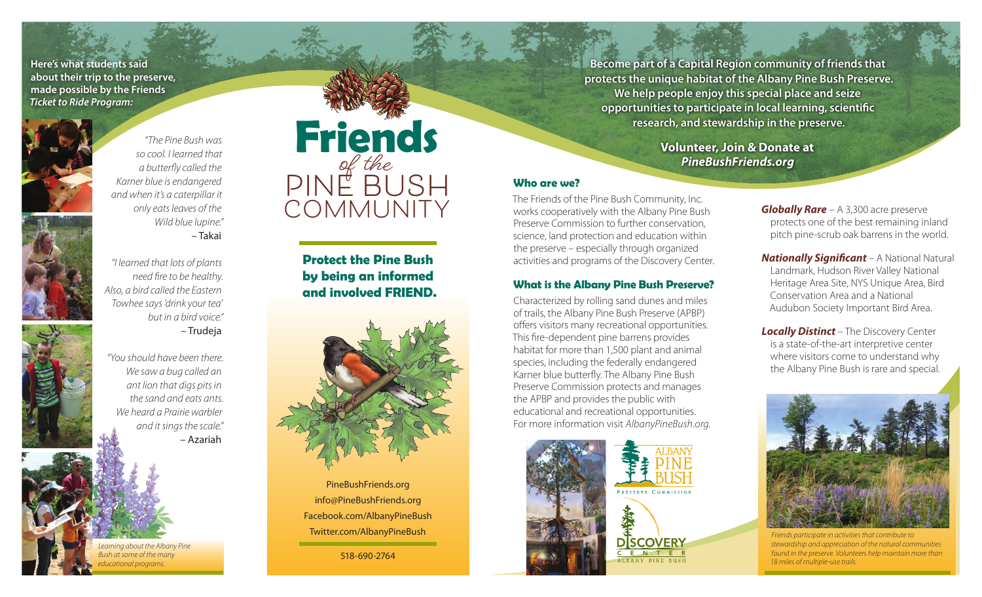**Here's what students said about their trip to the preserve, made possible by the Friends**  *Ticket to Ride Program:*



*"The Pine Bush was so cool. I learned that a butterfly called the Karner blue is endangered and when it's a caterpillar it only eats leaves of the Wild blue lupine."* – Takai

*"I learned that lots of plants need fire to be healthy. Also, a bird called the Eastern Towhee says 'drink your tea' but in a bird voice."* – Trudeja

*"You should have been there. We saw a bug called an ant lion that digs pits in the sand and eats ants. We heard a Prairie warbler and it sings the scale."* – Azariah

*Learning about the Albany Pine Bush at some of the many educational programs.*

# **Friends of the PINE BUSH COMMUNITY**

**Protect the Pine Bush by being an informed and involved FRIEND.**



PineBushFriends.org info@PineBushFriends.org Facebook.com/AlbanyPineBush Twitter.com/AlbanyPineBush

518-690-2764

**Become part of a Capital Region community of friends that protects the unique habitat of the Albany Pine Bush Preserve. We help people enjoy this special place and seize opportunities to participate in local learning, scientific research, and stewardship in the preserve.**

> **Volunteer, Join & Donate at**  *PineBushFriends.org*

### **Who are we?**

The Friends of the Pine Bush Community, Inc. works cooperatively with the Albany Pine Bush Preserve Commission to further conservation, science, land protection and education within the preserve – especially through organized activities and programs of the Discovery Center.

## **What is the Albany Pine Bush Preserve?**

Characterized by rolling sand dunes and miles of trails, the Albany Pine Bush Preserve (APBP) offers visitors many recreational opportunities. This fire-dependent pine barrens provides habitat for more than 1,500 plant and animal species, including the federally endangered Karner blue butterfly. The Albany Pine Bush Preserve Commission protects and manages the APBP and provides the public with educational and recreational opportunities. For more information visit *AlbanyPineBush.org.*



*Globally Rare* – A 3,300 acre preserve protects one of the best remaining inland pitch pine-scrub oak barrens in the world.

*Nationally Significant* – A National Natural Landmark, Hudson River Valley National Heritage Area Site, NYS Unique Area, Bird Conservation Area and a National Audubon Society Important Bird Area.

*Locally Distinct* – The Discovery Center is a state-of-the-art interpretive center where visitors come to understand why the Albany Pine Bush is rare and special.



*Friends participate in activities that contribute to stewardship and appreciation of the natural communities found in the preserve. Volunteers help maintain more than 18 miles of multiple-use trails.*